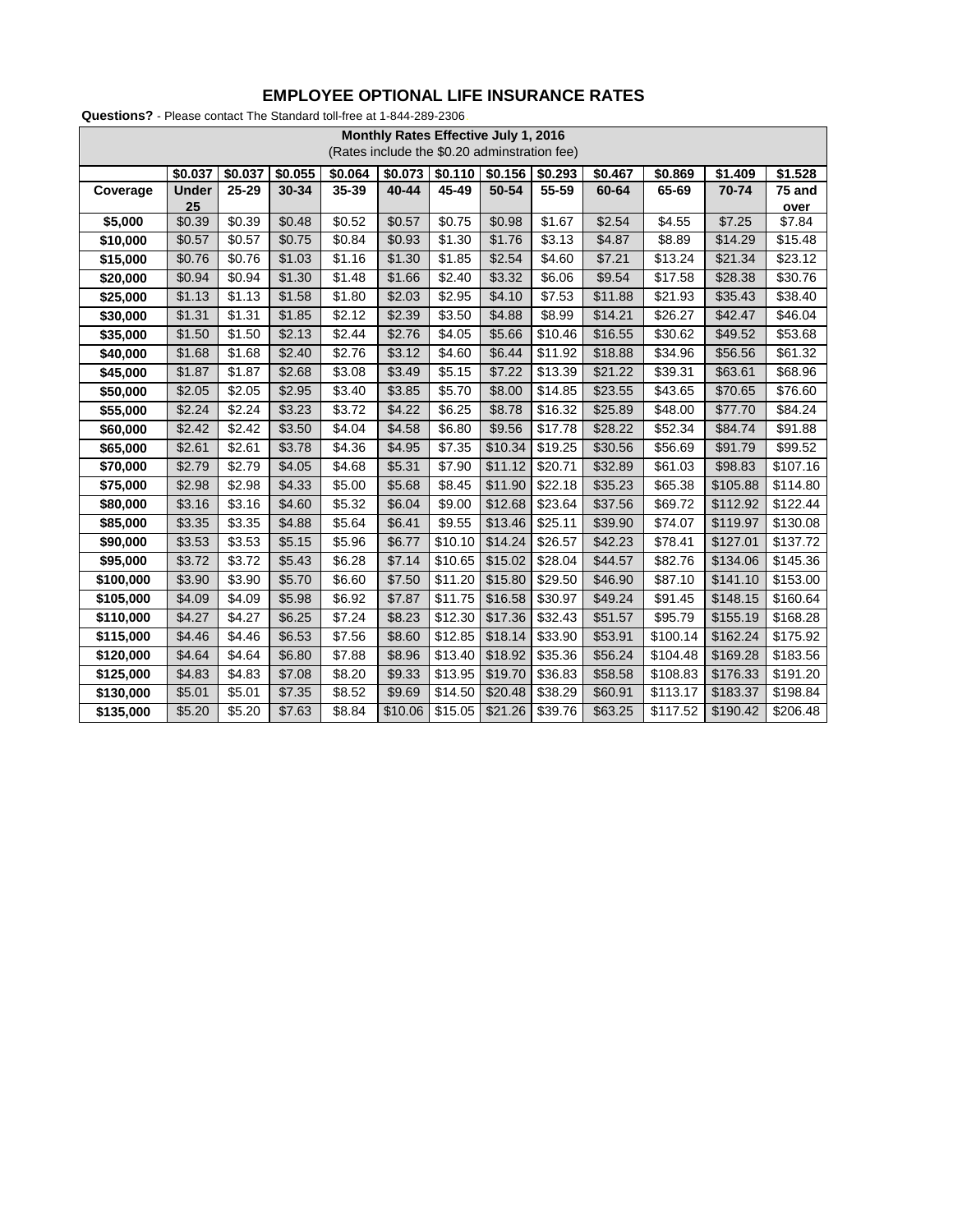| Monthly Rates Effective July 1, 2016<br>(Rates include the \$0.20 adminstration fee) |              |         |         |         |         |                    |         |                     |         |          |          |          |
|--------------------------------------------------------------------------------------|--------------|---------|---------|---------|---------|--------------------|---------|---------------------|---------|----------|----------|----------|
|                                                                                      | \$0.037      | \$0.037 | \$0.055 | \$0.064 | \$0.073 | \$0.110            | \$0.156 | \$0.293             | \$0.467 | \$0.869  | \$1.409  | \$1.528  |
| Coverage                                                                             | <b>Under</b> | 25-29   | 30-34   | 35-39   | 40-44   | 45-49              | 50-54   | 55-59               | 60-64   | 65-69    | 70-74    | 75 and   |
|                                                                                      | 25           |         |         |         |         |                    |         |                     |         |          |          | over     |
| \$5,000                                                                              | \$0.39       | \$0.39  | \$0.48  | \$0.52  | \$0.57  | \$0.75             | \$0.98  | $\overline{$}1.67$  | \$2.54  | \$4.55   | \$7.25   | \$7.84   |
| \$10,000                                                                             | \$0.57       | \$0.57  | \$0.75  | \$0.84  | \$0.93  | \$1.30             | \$1.76  | \$3.13              | \$4.87  | \$8.89   | \$14.29  | \$15.48  |
| \$15,000                                                                             | \$0.76       | \$0.76  | \$1.03  | \$1.16  | \$1.30  | \$1.85             | \$2.54  | \$4.60              | \$7.21  | \$13.24  | \$21.34  | \$23.12  |
| \$20,000                                                                             | \$0.94       | \$0.94  | \$1.30  | \$1.48  | \$1.66  | \$2.40             | \$3.32  | \$6.06              | \$9.54  | \$17.58  | \$28.38  | \$30.76  |
| \$25,000                                                                             | \$1.13       | \$1.13  | \$1.58  | \$1.80  | \$2.03  | \$2.95             | \$4.10  | \$7.53              | \$11.88 | \$21.93  | \$35.43  | \$38.40  |
| \$30,000                                                                             | \$1.31       | \$1.31  | \$1.85  | \$2.12  | \$2.39  | \$3.50             | \$4.88  | \$8.99              | \$14.21 | \$26.27  | \$42.47  | \$46.04  |
| \$35,000                                                                             | \$1.50       | \$1.50  | \$2.13  | \$2.44  | \$2.76  | \$4.05             | \$5.66  | $\overline{$}10.46$ | \$16.55 | \$30.62  | \$49.52  | \$53.68  |
| \$40,000                                                                             | \$1.68       | \$1.68  | \$2.40  | \$2.76  | \$3.12  | \$4.60             | \$6.44  | \$11.92             | \$18.88 | \$34.96  | \$56.56  | \$61.32  |
| \$45,000                                                                             | \$1.87       | \$1.87  | \$2.68  | \$3.08  | \$3.49  | \$5.15             | \$7.22  | \$13.39             | \$21.22 | \$39.31  | \$63.61  | \$68.96  |
| \$50,000                                                                             | \$2.05       | \$2.05  | \$2.95  | \$3.40  | \$3.85  | $\overline{$}5.70$ | \$8.00  | \$14.85             | \$23.55 | \$43.65  | \$70.65  | \$76.60  |
| \$55,000                                                                             | \$2.24       | \$2.24  | \$3.23  | \$3.72  | \$4.22  | \$6.25             | \$8.78  | \$16.32             | \$25.89 | \$48.00  | \$77.70  | \$84.24  |
| \$60,000                                                                             | \$2.42       | \$2.42  | \$3.50  | \$4.04  | \$4.58  | \$6.80             | \$9.56  | \$17.78             | \$28.22 | \$52.34  | \$84.74  | \$91.88  |
| \$65,000                                                                             | \$2.61       | \$2.61  | \$3.78  | \$4.36  | \$4.95  | \$7.35             | \$10.34 | \$19.25             | \$30.56 | \$56.69  | \$91.79  | \$99.52  |
| \$70,000                                                                             | \$2.79       | \$2.79  | \$4.05  | \$4.68  | \$5.31  | \$7.90             | \$11.12 | \$20.71             | \$32.89 | \$61.03  | \$98.83  | \$107.16 |
| \$75,000                                                                             | \$2.98       | \$2.98  | \$4.33  | \$5.00  | \$5.68  | \$8.45             | \$11.90 | \$22.18             | \$35.23 | \$65.38  | \$105.88 | \$114.80 |
| \$80,000                                                                             | \$3.16       | \$3.16  | \$4.60  | \$5.32  | \$6.04  | \$9.00             | \$12.68 | \$23.64             | \$37.56 | \$69.72  | \$112.92 | \$122.44 |
| \$85,000                                                                             | \$3.35       | \$3.35  | \$4.88  | \$5.64  | \$6.41  | \$9.55             | \$13.46 | \$25.11             | \$39.90 | \$74.07  | \$119.97 | \$130.08 |
| \$90,000                                                                             | \$3.53       | \$3.53  | \$5.15  | \$5.96  | \$6.77  | \$10.10            | \$14.24 | \$26.57             | \$42.23 | \$78.41  | \$127.01 | \$137.72 |
| \$95,000                                                                             | \$3.72       | \$3.72  | \$5.43  | \$6.28  | \$7.14  | \$10.65            | \$15.02 | \$28.04             | \$44.57 | \$82.76  | \$134.06 | \$145.36 |
| \$100,000                                                                            | \$3.90       | \$3.90  | \$5.70  | \$6.60  | \$7.50  | \$11.20            | \$15.80 | \$29.50             | \$46.90 | \$87.10  | \$141.10 | \$153.00 |
| \$105,000                                                                            | \$4.09       | \$4.09  | \$5.98  | \$6.92  | \$7.87  | \$11.75            | \$16.58 | \$30.97             | \$49.24 | \$91.45  | \$148.15 | \$160.64 |
| \$110,000                                                                            | \$4.27       | \$4.27  | \$6.25  | \$7.24  | \$8.23  | \$12.30            | \$17.36 | $\overline{$}32.43$ | \$51.57 | \$95.79  | \$155.19 | \$168.28 |
| \$115,000                                                                            | \$4.46       | \$4.46  | \$6.53  | \$7.56  | \$8.60  | \$12.85            | \$18.14 | \$33.90             | \$53.91 | \$100.14 | \$162.24 | \$175.92 |
| \$120,000                                                                            | \$4.64       | \$4.64  | \$6.80  | \$7.88  | \$8.96  | \$13.40            | \$18.92 | \$35.36             | \$56.24 | \$104.48 | \$169.28 | \$183.56 |
| \$125,000                                                                            | \$4.83       | \$4.83  | \$7.08  | \$8.20  | \$9.33  | \$13.95            | \$19.70 | \$36.83             | \$58.58 | \$108.83 | \$176.33 | \$191.20 |
| \$130,000                                                                            | \$5.01       | \$5.01  | \$7.35  | \$8.52  | \$9.69  | \$14.50            | \$20.48 | \$38.29             | \$60.91 | \$113.17 | \$183.37 | \$198.84 |
| \$135,000                                                                            | \$5.20       | \$5.20  | \$7.63  | \$8.84  | \$10.06 | \$15.05            | \$21.26 | \$39.76             | \$63.25 | \$117.52 | \$190.42 | \$206.48 |

## **EMPLOYEE OPTIONAL LIFE INSURANCE RATES**

**Questions?** - Please contact The Standard toll-free at 1-844-289-2306.